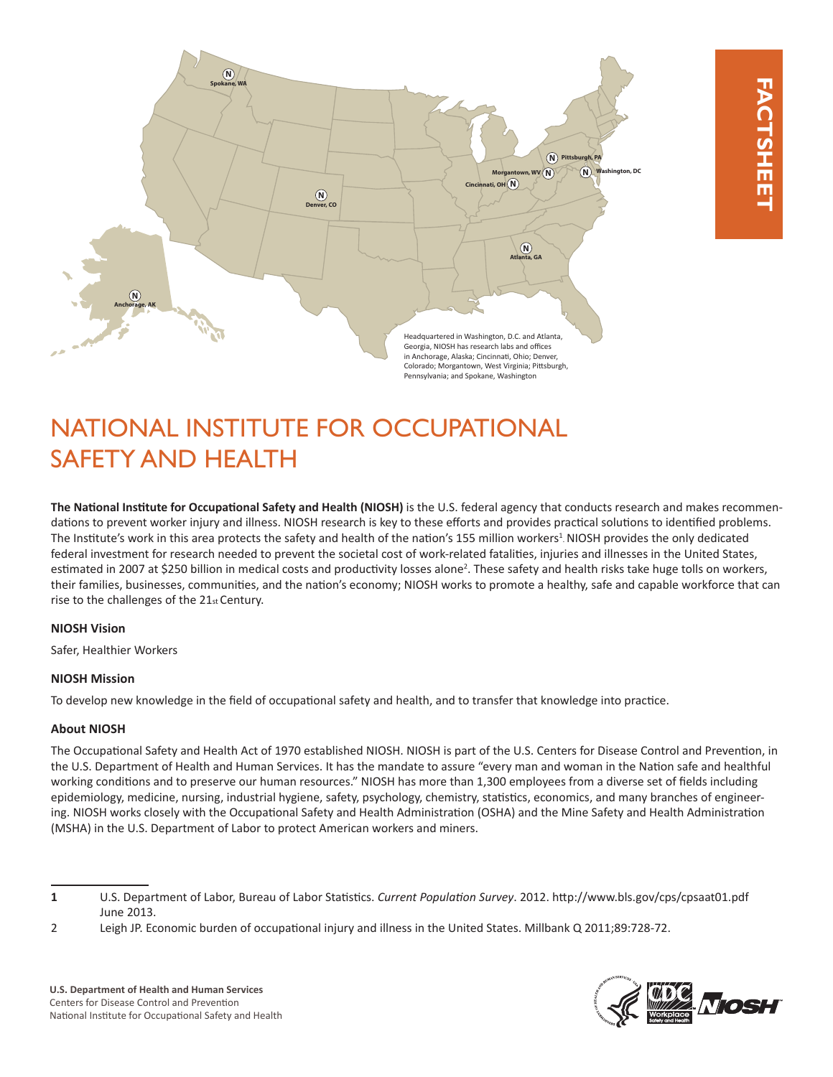

# NATIONAL INSTITUTE FOR OCCUPATIONAL SAFETY AND HEALTH

**The National Institute for Occupational Safety and Health (NIOSH)** is the U.S. federal agency that conducts research and makes recommendations to prevent worker injury and illness. NIOSH research is key to these efforts and provides practical solutions to identified problems. The Institute's work in this area protects the safety and health of the nation's 155 million workers<sup>1</sup>. NIOSH provides the only dedicated federal investment for research needed to prevent the societal cost of work-related fatalities, injuries and illnesses in the United States, estimated in 2007 at \$250 billion in medical costs and productivity losses alone<sup>2</sup>. These safety and health risks take huge tolls on workers, their families, businesses, communities, and the nation's economy; NIOSH works to promote a healthy, safe and capable workforce that can rise to the challenges of the 21st Century.

# **NIOSH Vision**

Safer, Healthier Workers

# **NIOSH Mission**

To develop new knowledge in the field of occupational safety and health, and to transfer that knowledge into practice.

# **About NIOSH**

The Occupational Safety and Health Act of 1970 established NIOSH. NIOSH is part of the U.S. Centers for Disease Control and Prevention, in the U.S. Department of Health and Human Services. It has the mandate to assure "every man and woman in the Nation safe and healthful working conditions and to preserve our human resources." NIOSH has more than 1,300 employees from a diverse set of fields including epidemiology, medicine, nursing, industrial hygiene, safety, psychology, chemistry, statistics, economics, and many branches of engineering. NIOSH works closely with the Occupational Safety and Health Administration (OSHA) and the Mine Safety and Health Administration (MSHA) in the U.S. Department of Labor to protect American workers and miners.



**<sup>1</sup>** U.S. Department of Labor, Bureau of Labor Statistics. *Current Population Survey*. 2012. http://www.bls.gov/cps/cpsaat01.pdf June 2013.

<sup>2</sup> Leigh JP. Economic burden of occupational injury and illness in the United States. Millbank Q 2011;89:728-72.